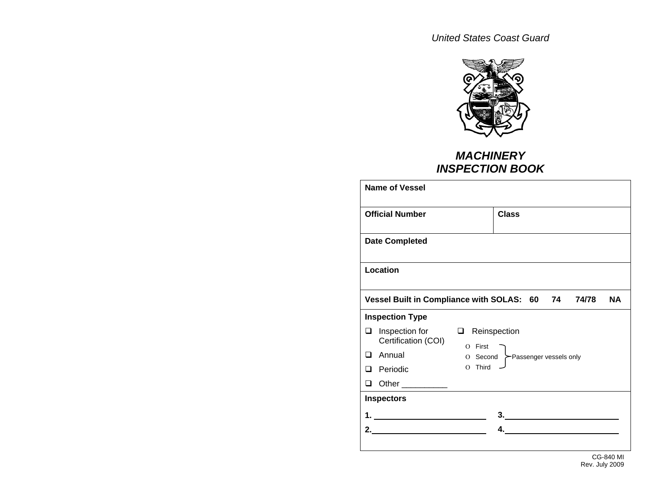*United States Coast Guard* 



## *MACHINERY INSPECTION BOOK*

| <b>Name of Vessel</b>                      |                                                                    |
|--------------------------------------------|--------------------------------------------------------------------|
| <b>Official Number</b>                     | <b>Class</b>                                                       |
| <b>Date Completed</b>                      |                                                                    |
| Location                                   |                                                                    |
|                                            | Vessel Built in Compliance with SOLAS: 60 74<br><b>NA</b><br>74/78 |
| <b>Inspection Type</b>                     |                                                                    |
| Inspection for<br>❏<br>Certification (COI) | Reinspection<br>$\Box$<br>$O$ First                                |
| Annual<br>$\Box$                           | O Second ≻Passenger vessels only                                   |
| Periodic<br>l 1                            | Third<br>$\Omega$                                                  |
| Other __________<br>◻                      |                                                                    |
| <b>Inspectors</b>                          |                                                                    |
| <u>1. __________________________</u>       |                                                                    |
| 2.                                         | 4.                                                                 |
|                                            |                                                                    |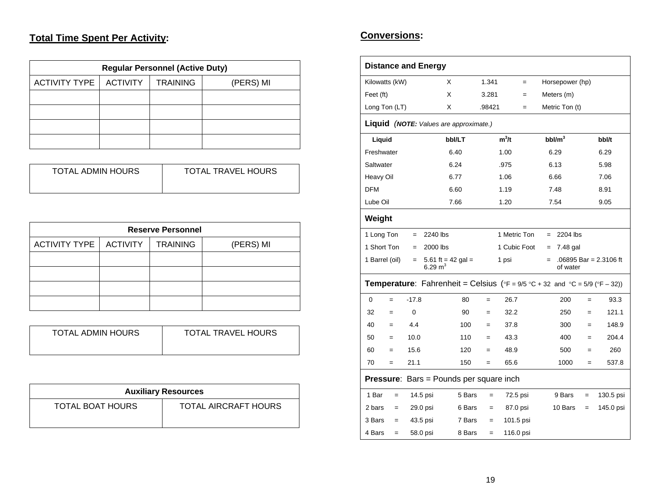## **Total Time Spent Per Activity:**

| <b>Regular Personnel (Active Duty)</b> |           |  |  |  |  |  |
|----------------------------------------|-----------|--|--|--|--|--|
| <b>ACTIVITY TYPE</b>                   | (PERS) MI |  |  |  |  |  |
|                                        |           |  |  |  |  |  |
|                                        |           |  |  |  |  |  |
|                                        |           |  |  |  |  |  |
|                                        |           |  |  |  |  |  |

| TOTAL ADMIN HOURS | <b>TOTAL TRAVEL HOURS</b> |
|-------------------|---------------------------|
|                   |                           |
|                   |                           |
|                   |                           |

| <b>Reserve Personnel</b> |                 |                 |           |  |  |  |  |
|--------------------------|-----------------|-----------------|-----------|--|--|--|--|
| <b>ACTIVITY TYPE</b>     | <b>ACTIVITY</b> | <b>TRAINING</b> | (PERS) MI |  |  |  |  |
|                          |                 |                 |           |  |  |  |  |
|                          |                 |                 |           |  |  |  |  |
|                          |                 |                 |           |  |  |  |  |
|                          |                 |                 |           |  |  |  |  |

| TOTAL ADMIN HOURS | <b>TOTAL TRAVEL HOURS</b> |
|-------------------|---------------------------|
|                   |                           |

| <b>Auxiliary Resources</b> |                             |  |  |  |
|----------------------------|-----------------------------|--|--|--|
| <b>TOTAL BOAT HOURS</b>    | <b>TOTAL AIRCRAFT HOURS</b> |  |  |  |

### **Conversions:**

|                |     |          | <b>Distance and Energy</b>                                                                                                      |        |        |              |     |     |                    |     |                        |
|----------------|-----|----------|---------------------------------------------------------------------------------------------------------------------------------|--------|--------|--------------|-----|-----|--------------------|-----|------------------------|
| Kilowatts (kW) |     |          | X                                                                                                                               |        | 1.341  |              | $=$ |     | Horsepower (hp)    |     |                        |
| Feet (ft)      |     |          | X                                                                                                                               |        | 3.281  |              | $=$ |     | Meters (m)         |     |                        |
| Long Ton (LT)  |     |          | X                                                                                                                               |        | .98421 |              | $=$ |     | Metric Ton (t)     |     |                        |
|                |     |          | Liquid (NOTE: Values are approximate.)                                                                                          |        |        |              |     |     |                    |     |                        |
| Liquid         |     |          |                                                                                                                                 | bbl/LT |        | $m^3/t$      |     |     | bbl/m <sup>3</sup> |     | bbl/t                  |
| Freshwater     |     |          |                                                                                                                                 | 6.40   |        | 1.00         |     |     | 6.29               |     | 6.29                   |
| Saltwater      |     |          |                                                                                                                                 | 6.24   |        | .975         |     |     | 6.13               |     | 5.98                   |
| Heavy Oil      |     |          |                                                                                                                                 | 6.77   |        | 1.06         |     |     | 6.66               |     | 7.06                   |
| <b>DFM</b>     |     |          |                                                                                                                                 | 6.60   |        | 1.19         |     |     | 7.48               |     | 8.91                   |
| Lube Oil       |     |          |                                                                                                                                 | 7.66   |        | 1.20         |     |     | 7.54               |     | 9.05                   |
| Weight         |     |          |                                                                                                                                 |        |        |              |     |     |                    |     |                        |
| 1 Long Ton     |     | $=$      | 2240 lbs                                                                                                                        |        |        | 1 Metric Ton |     |     | $= 2204$ lbs       |     |                        |
| 1 Short Ton    |     | $\equiv$ | 2000 lbs                                                                                                                        |        |        | 1 Cubic Foot |     | $=$ | 7.48 gal           |     |                        |
| 1 Barrel (oil) |     | $=$      | 5.61 ft = 42 gal =<br>6.29 $m3$                                                                                                 |        |        | 1 psi        |     | $=$ | of water           |     | .06895 Bar = 2.3106 ft |
|                |     |          | <b>Temperature:</b> Fahrenheit = Celsius ( ${}^{\circ}F = 9/5 {}^{\circ}C + 32$ and ${}^{\circ}C = 5/9$ ( ${}^{\circ}F - 32$ )) |        |        |              |     |     |                    |     |                        |
| 0              | $=$ | $-17.8$  |                                                                                                                                 | 80     | $=$    | 26.7         |     |     | 200                | $=$ | 93.3                   |
| 32             | $=$ | 0        |                                                                                                                                 | 90     | $=$    | 32.2         |     |     | 250                | $=$ | 121.1                  |
| 40             | $=$ | 4.4      |                                                                                                                                 | 100    | $=$    | 37.8         |     |     | 300                | $=$ | 148.9                  |
| 50             | $=$ | 10.0     |                                                                                                                                 | 110    | $=$    | 43.3         |     |     | 400                | $=$ | 204.4                  |
| 60             | $=$ | 15.6     |                                                                                                                                 | 120    | $=$    | 48.9         |     |     | 500                | $=$ | 260                    |
| 70             | $=$ | 21.1     |                                                                                                                                 | 150    | $=$    | 65.6         |     |     | 1000               | $=$ | 537.8                  |
|                |     |          | <b>Pressure:</b> Bars = Pounds per square inch                                                                                  |        |        |              |     |     |                    |     |                        |
| 1 Bar          | $=$ |          | 14.5 psi                                                                                                                        | 5 Bars | $=$    | 72.5 psi     |     |     | 9 Bars             | $=$ | 130.5 psi              |
| 2 bars         | $=$ |          | 29.0 psi                                                                                                                        | 6 Bars | $=$    | 87.0 psi     |     |     | 10 Bars            | $=$ | 145.0 psi              |
| 3 Bars         | $=$ |          | 43.5 psi                                                                                                                        | 7 Bars | $=$    | 101.5 psi    |     |     |                    |     |                        |
| 4 Bars         | $=$ |          | 58.0 psi                                                                                                                        | 8 Bars | $=$    | 116.0 psi    |     |     |                    |     |                        |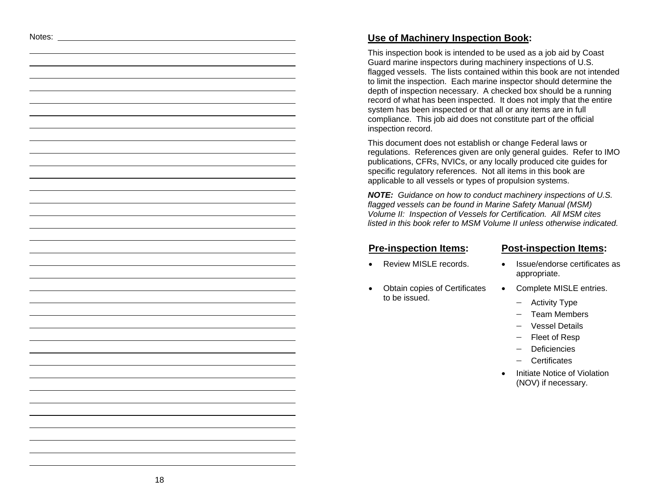### Notes: **Use of Machinery Inspection Book:**

This inspection book is intended to be used as a job aid by Coast Guard marine inspectors during machinery inspections of U.S. flagged vessels. The lists contained within this book are not intended to limit the inspection. Each marine inspector should determine the depth of inspection necessary. A checked box should be a running record of what has been inspected. It does not imply that the entire system has been inspected or that all or any items are in full compliance. This job aid does not constitute part of the official inspection record.

This document does not establish or change Federal laws or regulations. References given are only general guides. Refer to IMO publications, CFRs, NVICs, or any locally produced cite guides for specific regulatory references. Not all items in this book are applicable to all vessels or types of propulsion systems.

*NOTE: Guidance on how to conduct machinery inspections of U.S. flagged vessels can be found in Marine Safety Manual (MSM) Volume II: Inspection of Vessels for Certification. All MSM cites listed in this book refer to MSM Volume II unless otherwise indicated.* 

- 
- Obtain copies of Certificates to be issued.

#### **Pre-inspection Items: Post-inspection Items:**

- Review MISLE records. Issue/endorse certificates as appropriate.
	- Complete MISLE entries.
		- − Activity Type
		- − Team Members
		- − Vessel Details
		- − Fleet of Resp
		- − Deficiencies
		- − Certificates
	- **Initiate Notice of Violation** (NOV) if necessary.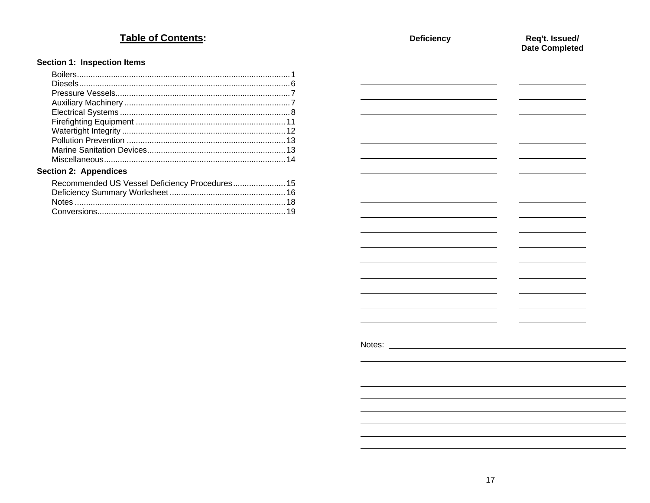# Table of Contents:

### Section 1: Inspection Items

| <b>Section 2: Appendices</b> |  |
|------------------------------|--|

| Recommended US Vessel Deficiency Procedures 15 |  |
|------------------------------------------------|--|
|                                                |  |
|                                                |  |
|                                                |  |

| <b>Deficiency</b>                                                                                                                                                                                                                    | Req't. Issued/<br>Date Completed  |
|--------------------------------------------------------------------------------------------------------------------------------------------------------------------------------------------------------------------------------------|-----------------------------------|
|                                                                                                                                                                                                                                      |                                   |
|                                                                                                                                                                                                                                      |                                   |
| L,                                                                                                                                                                                                                                   |                                   |
|                                                                                                                                                                                                                                      |                                   |
| <u> London Communica</u>                                                                                                                                                                                                             | <b>Contract Contract Contract</b> |
|                                                                                                                                                                                                                                      |                                   |
| $\overline{\phantom{0}}$                                                                                                                                                                                                             |                                   |
| <u> a shekara ta 1999 a shekara ta 1999 a shekara ta 1999 a shekara ta 1999 a shekara ta 1999 a shekara ta 1999 a shekara ta 1999 a shekara ta 1999 a shekara ta 1999 a shekara ta 1999 a shekara ta 1999 a shekara ta 1999 a sh</u> |                                   |
|                                                                                                                                                                                                                                      |                                   |
|                                                                                                                                                                                                                                      |                                   |
|                                                                                                                                                                                                                                      |                                   |
|                                                                                                                                                                                                                                      |                                   |
|                                                                                                                                                                                                                                      |                                   |
|                                                                                                                                                                                                                                      |                                   |
| L,                                                                                                                                                                                                                                   |                                   |
|                                                                                                                                                                                                                                      |                                   |
| $\overline{\phantom{a}}$                                                                                                                                                                                                             |                                   |
|                                                                                                                                                                                                                                      |                                   |
|                                                                                                                                                                                                                                      |                                   |
|                                                                                                                                                                                                                                      |                                   |
|                                                                                                                                                                                                                                      |                                   |
|                                                                                                                                                                                                                                      |                                   |
|                                                                                                                                                                                                                                      |                                   |
|                                                                                                                                                                                                                                      |                                   |
|                                                                                                                                                                                                                                      |                                   |
|                                                                                                                                                                                                                                      |                                   |
|                                                                                                                                                                                                                                      |                                   |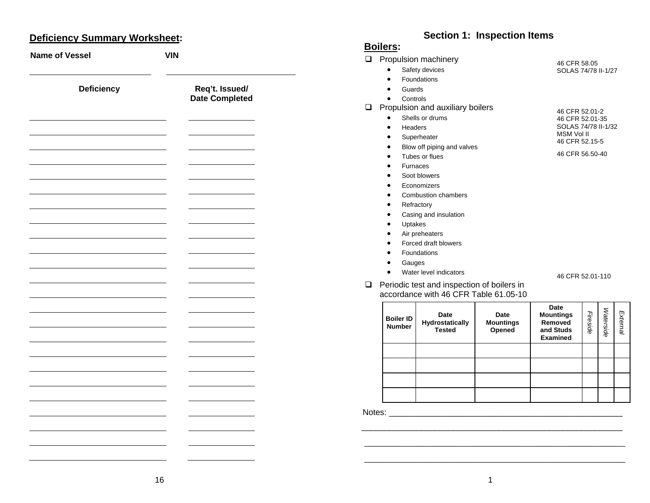# **Deficiency Summary Worksheet: Section 1: Inspection Items** : **Section 1: Inspection Items**

| <b>Name of Vessel</b> | <b>VIN</b>                       |
|-----------------------|----------------------------------|
| Deficiency            | Req't. Issued/<br>Date Completed |
|                       |                                  |
|                       |                                  |
|                       |                                  |
|                       |                                  |
|                       |                                  |
|                       |                                  |
|                       |                                  |
|                       |                                  |
|                       |                                  |
|                       |                                  |
|                       |                                  |
|                       |                                  |
|                       |                                  |

# Boilers:

| ❏ |                                                    | Propulsion machinery                       |                  | 46 CFR 58.05                 |          |           |          |  |  |
|---|----------------------------------------------------|--------------------------------------------|------------------|------------------------------|----------|-----------|----------|--|--|
|   |                                                    | Safety devices                             |                  | SOLAS 74/78 II-1/27          |          |           |          |  |  |
|   |                                                    | Foundations                                |                  |                              |          |           |          |  |  |
|   | Guards                                             |                                            |                  |                              |          |           |          |  |  |
|   | Controls                                           |                                            |                  |                              |          |           |          |  |  |
|   | Propulsion and auxiliary boilers<br>46 CFR 52.01-2 |                                            |                  |                              |          |           |          |  |  |
|   |                                                    | Shells or drums                            |                  | 46 CFR 52.01-35              |          |           |          |  |  |
|   | Headers                                            |                                            |                  | SOLAS 74/78 II-1/32          |          |           |          |  |  |
|   |                                                    | Superheater                                |                  | MSM Vol II<br>46 CFR 52.15-5 |          |           |          |  |  |
|   |                                                    | Blow off piping and valves                 |                  |                              |          |           |          |  |  |
|   |                                                    | Tubes or flues                             |                  | 46 CFR 56.50-40              |          |           |          |  |  |
|   |                                                    | <b>Furnaces</b>                            |                  |                              |          |           |          |  |  |
|   |                                                    | Soot blowers                               |                  |                              |          |           |          |  |  |
|   |                                                    | Economizers                                |                  |                              |          |           |          |  |  |
|   |                                                    | <b>Combustion chambers</b>                 |                  |                              |          |           |          |  |  |
|   |                                                    | Refractory                                 |                  |                              |          |           |          |  |  |
|   | $\bullet$                                          | Casing and insulation                      |                  |                              |          |           |          |  |  |
|   | Uptakes<br>$\bullet$                               |                                            |                  |                              |          |           |          |  |  |
|   |                                                    | Air preheaters                             |                  |                              |          |           |          |  |  |
|   |                                                    | Forced draft blowers                       |                  |                              |          |           |          |  |  |
|   |                                                    | Foundations                                |                  |                              |          |           |          |  |  |
|   | Gauges                                             |                                            |                  |                              |          |           |          |  |  |
|   |                                                    | Water level indicators                     |                  | 46 CFR 52.01-110             |          |           |          |  |  |
| ⊔ |                                                    | Periodic test and inspection of boilers in |                  |                              |          |           |          |  |  |
|   |                                                    | accordance with 46 CFR Table 61.05-10      |                  |                              |          |           |          |  |  |
|   |                                                    |                                            |                  | Date                         |          |           |          |  |  |
|   |                                                    | Date                                       | Date             | <b>Mountings</b>             |          |           |          |  |  |
|   | <b>Boiler ID</b><br><b>Number</b>                  | Hydrostatically                            | <b>Mountings</b> | Removed                      | Fireside | Waterside | External |  |  |
|   |                                                    | <b>Tested</b>                              | Opened           | and Studs<br><b>Examined</b> |          |           |          |  |  |
|   |                                                    |                                            |                  |                              |          |           |          |  |  |
|   |                                                    |                                            |                  |                              |          |           |          |  |  |
|   |                                                    |                                            |                  |                              |          |           |          |  |  |
|   |                                                    |                                            |                  |                              |          |           |          |  |  |
|   |                                                    |                                            |                  |                              |          |           |          |  |  |
|   |                                                    |                                            |                  |                              |          |           |          |  |  |

Notes: \_\_\_\_\_\_\_\_\_\_\_\_\_\_\_\_\_\_\_\_\_\_\_\_\_\_\_\_\_\_\_\_\_\_\_\_\_\_\_\_\_\_\_\_\_\_\_\_\_\_\_

 $\overline{\phantom{a}}$  , and the contribution of the contribution of the contribution of the contribution of the contribution of the contribution of the contribution of the contribution of the contribution of the contribution of the \_\_\_\_\_\_\_\_\_\_\_\_\_\_\_\_\_\_\_\_\_\_\_\_\_\_\_\_\_\_\_\_\_\_\_\_\_\_\_\_\_\_\_\_\_\_\_\_\_\_\_\_\_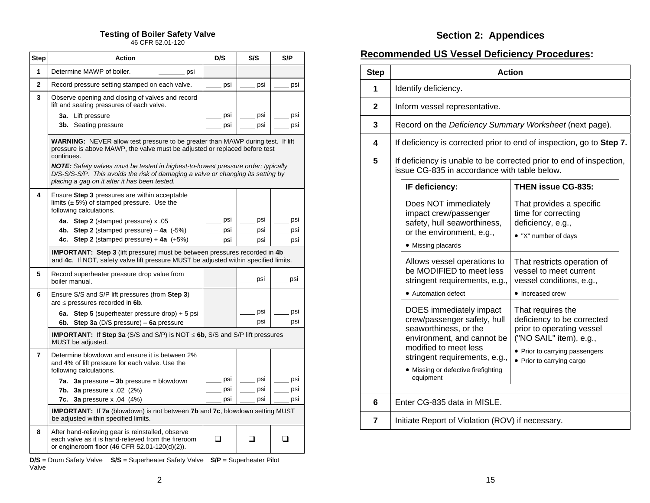| Step           | Action                                                                                                                                                                                                                        | D/S | S/S        | S/P        |
|----------------|-------------------------------------------------------------------------------------------------------------------------------------------------------------------------------------------------------------------------------|-----|------------|------------|
| 1              | Determine MAWP of boiler.<br>psi                                                                                                                                                                                              |     |            |            |
| $\mathbf{2}$   | Record pressure setting stamped on each valve.                                                                                                                                                                                | psi | psi        | psi        |
| 3              | Observe opening and closing of valves and record<br>lift and seating pressures of each valve.                                                                                                                                 |     |            |            |
|                | 3a. Lift pressure                                                                                                                                                                                                             | psi | psi        | psi        |
|                | <b>3b.</b> Seating pressure                                                                                                                                                                                                   | psi | psi        | psi        |
|                | <b>WARNING:</b> NEVER allow test pressure to be greater than MAWP during test. If lift<br>pressure is above MAWP, the valve must be adjusted or replaced before test<br>continues.                                            |     |            |            |
|                | <b>NOTE:</b> Safety valves must be tested in highest-to-lowest pressure order; typically<br>D/S-S/S-S/P. This avoids the risk of damaging a valve or changing its setting by<br>placing a gag on it after it has been tested. |     |            |            |
| 4              | Ensure Step 3 pressures are within acceptable<br>limits $(\pm 5\%)$ of stamped pressure. Use the<br>following calculations.                                                                                                   |     |            |            |
|                | 4a. Step 2 (stamped pressure) x .05                                                                                                                                                                                           | psi | psi        | psi        |
|                | 4b. Step 2 (stamped pressure) $-$ 4a (-5%)                                                                                                                                                                                    | psi | psi        | psi        |
|                | <b>Step 2</b> (stamped pressure) $+ 4a (+5%)$<br>4c.                                                                                                                                                                          | psi | psi        | psi        |
|                | <b>IMPORTANT:</b> Step 3 (lift pressure) must be between pressures recorded in 4b<br>and 4c. If NOT, safety valve lift pressure MUST be adjusted within specified limits.                                                     |     |            |            |
| 5              | Record superheater pressure drop value from<br>boiler manual.                                                                                                                                                                 |     | psi        | psi        |
| 6              | Ensure S/S and S/P lift pressures (from Step 3)<br>are $\leq$ pressures recorded in 6b.                                                                                                                                       |     |            |            |
|                | <b>Step 5</b> (superheater pressure drop) + 5 psi<br>6а.<br>6b. Step 3a (D/S pressure) $-$ 6a pressure                                                                                                                        |     | psi<br>psi | psi<br>psi |
|                | <b>IMPORTANT:</b> If Step 3a (S/S and S/P) is NOT $\leq$ 6b, S/S and S/P lift pressures<br>MUST be adjusted.                                                                                                                  |     |            |            |
| $\overline{7}$ | Determine blowdown and ensure it is between 2%<br>and 4% of lift pressure for each valve. Use the<br>following calculations.                                                                                                  |     |            |            |
|                | 7a. 3a pressure $-$ 3b pressure = blowdown                                                                                                                                                                                    | psi | psi        | psi        |
|                | <b>7b.</b> 3a pressure x .02 $(2%)$                                                                                                                                                                                           | psi | psi        | psi        |
|                | 7c.<br><b>3a</b> pressure x .04 (4%)                                                                                                                                                                                          | psi | psi        | psi        |
|                | <b>IMPORTANT:</b> If 7a (blowdown) is not between 7b and 7c, blowdown setting MUST<br>be adjusted within specified limits.                                                                                                    |     |            |            |
| 8              | After hand-relieving gear is reinstalled, observe<br>each valve as it is hand-relieved from the fireroom<br>or engineroom floor (46 CFR 52.01-120(d)(2)).                                                                     | - 1 | □          |            |

**D/S** = Drum Safety Valve **S/S** = Superheater Safety Valve **S/P** = Superheater Pilot Valve

# **Testing of Boiler Safety Valve Section 2: Appendices** 46 CFR 52.01-120

## **Recommended US Vessel Deficiency Procedures:**

| <b>Step</b>  | <b>Action</b>                                                                                                                                                                                                                                                                                                                                                                                                                                                                                                                                                                                                                     |                                                                                              |  |  |
|--------------|-----------------------------------------------------------------------------------------------------------------------------------------------------------------------------------------------------------------------------------------------------------------------------------------------------------------------------------------------------------------------------------------------------------------------------------------------------------------------------------------------------------------------------------------------------------------------------------------------------------------------------------|----------------------------------------------------------------------------------------------|--|--|
| 1            | Identify deficiency.                                                                                                                                                                                                                                                                                                                                                                                                                                                                                                                                                                                                              |                                                                                              |  |  |
| $\mathbf{2}$ | Inform vessel representative.                                                                                                                                                                                                                                                                                                                                                                                                                                                                                                                                                                                                     |                                                                                              |  |  |
| 3            | Record on the Deficiency Summary Worksheet (next page).                                                                                                                                                                                                                                                                                                                                                                                                                                                                                                                                                                           |                                                                                              |  |  |
| 4            | If deficiency is corrected prior to end of inspection, go to Step 7.                                                                                                                                                                                                                                                                                                                                                                                                                                                                                                                                                              |                                                                                              |  |  |
| 5            | If deficiency is unable to be corrected prior to end of inspection,<br>issue CG-835 in accordance with table below.                                                                                                                                                                                                                                                                                                                                                                                                                                                                                                               |                                                                                              |  |  |
|              | IF deficiency:                                                                                                                                                                                                                                                                                                                                                                                                                                                                                                                                                                                                                    | <b>THEN issue CG-835:</b>                                                                    |  |  |
|              | Does NOT immediately<br>impact crew/passenger<br>safety, hull seaworthiness,<br>or the environment, e.g.,<br>• Missing placards                                                                                                                                                                                                                                                                                                                                                                                                                                                                                                   | That provides a specific<br>time for correcting<br>deficiency, e.g.,<br>• "X" number of days |  |  |
|              | Allows vessel operations to<br>That restricts operation of<br>be MODIFIED to meet less<br>vessel to meet current<br>stringent requirements, e.g.,<br>vessel conditions, e.g.,<br>• Automation defect<br>• Increased crew<br>DOES immediately impact<br>That requires the<br>deficiency to be corrected<br>crew/passenger safety, hull<br>seaworthiness, or the<br>prior to operating vessel<br>("NO SAIL" item), e.g.,<br>environment, and cannot be<br>modified to meet less<br>• Prior to carrying passengers<br>stringent requirements, e.g.,<br>• Prior to carrying cargo<br>• Missing or defective firefighting<br>equipment |                                                                                              |  |  |
|              |                                                                                                                                                                                                                                                                                                                                                                                                                                                                                                                                                                                                                                   |                                                                                              |  |  |
| 6            | Enter CG-835 data in MISLE.                                                                                                                                                                                                                                                                                                                                                                                                                                                                                                                                                                                                       |                                                                                              |  |  |
| 7            | Initiate Report of Violation (ROV) if necessary.                                                                                                                                                                                                                                                                                                                                                                                                                                                                                                                                                                                  |                                                                                              |  |  |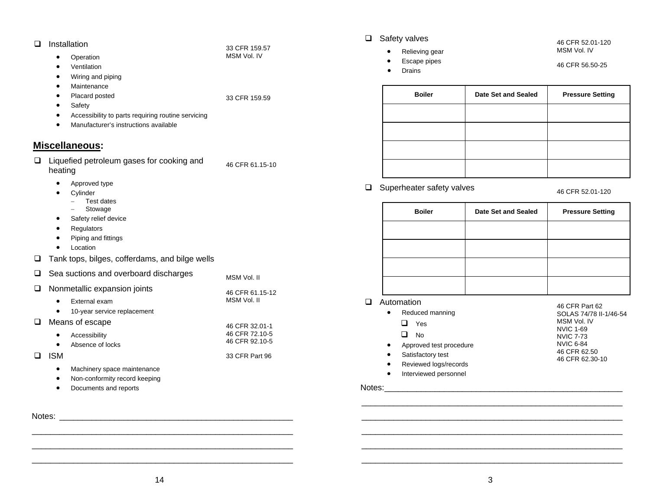- **Installation** 
	- •Operation
	- •Ventilation
	- •Wiring and piping
	- •Maintenance
	- •Placard posted
	- •**Safety**
	- •Accessibility to parts requiring routine servicing
	- •Manufacturer's instructions available

#### **Miscellaneous:**

□ Liquefied petroleum gases for cooking and heating 46 CFR 61.15-10

33 CFR 159.57 MSM Vol. IV

33 CFR 159.59

- •Approved type
- • Cylinder
	- − Test dates
	- <sup>−</sup> Stowage
- •Safety relief device
- •Regulators
- •Piping and fittings
- •• Location
- □ Tank tops, bilges, cofferdams, and bilge wells

|                        | Sea suctions and overboard discharges | MSM Vol. II                      |
|------------------------|---------------------------------------|----------------------------------|
|                        | Nonmetallic expansion joints          | 46 CFR 61.15-12                  |
| $\bullet$              | External exam                         | MSM Vol. II                      |
| $\bullet$              | 10-year service replacement           |                                  |
|                        | Means of escape                       | 46 CFR 32.01-1                   |
| $\bullet$<br>$\bullet$ | Accessibility<br>Absence of locks     | 46 CFR 72.10-5<br>46 CFR 92.10-5 |
| ISM                    |                                       | 33 CFR Part 96                   |
| $\bullet$              | Machinery space maintenance           |                                  |
| $\bullet$              | Non-conformity record keeping         |                                  |
|                        | Documents and reports                 |                                  |

#### Notes: \_\_\_\_\_\_\_\_\_\_\_\_\_\_\_\_\_\_\_\_\_\_\_\_\_\_\_\_\_\_\_\_\_\_\_\_\_\_\_\_\_\_\_\_\_\_\_\_\_\_\_ \_\_\_\_\_\_\_\_\_\_\_\_\_\_\_\_\_\_\_\_\_\_\_\_\_\_\_\_\_\_\_\_\_\_\_\_\_\_\_\_\_\_\_\_\_\_\_\_\_\_\_\_\_\_\_\_\_

□ Safety valves

- •Relieving gear
- •Escape pipes
- •Drains

46 CFR 52.01-120 MSM Vol. IV

46 CFR 56.50-25

| <b>Boiler</b> | Date Set and Sealed | <b>Pressure Setting</b> |
|---------------|---------------------|-------------------------|
|               |                     |                         |
|               |                     |                         |
|               |                     |                         |
|               |                     |                         |

□ Superheater safety valves 46 CFR 52.01-120

| <b>Boiler</b> | Date Set and Sealed | <b>Pressure Setting</b> |
|---------------|---------------------|-------------------------|
|               |                     |                         |
|               |                     |                         |
|               |                     |                         |
|               |                     |                         |

**Q** Automation

| ∖uτomation |                         | 46 CFR Part 62         |
|------------|-------------------------|------------------------|
| $\bullet$  | Reduced manning         | SOLAS 74/78 II-1/46-54 |
|            | Yes                     | MSM Vol. IV            |
|            |                         | <b>NVIC 1-69</b>       |
|            | <b>No</b>               | <b>NVIC 7-73</b>       |
| $\bullet$  | Approved test procedure | <b>NVIC 6-84</b>       |
| ٠          | Satisfactory test       | 46 CFR 62.50           |
| ٠          | Reviewed logs/records   | 46 CFR 62.30-10        |
|            | Interviewed personnel   |                        |

#### Notes:

 \_\_\_\_\_\_\_\_\_\_\_\_\_\_\_\_\_\_\_\_\_\_\_\_\_\_\_\_\_\_\_\_\_\_\_\_\_\_\_\_\_\_\_\_\_\_\_\_\_\_\_\_\_\_\_\_\_ \_\_\_\_\_\_\_\_\_\_\_\_\_\_\_\_\_\_\_\_\_\_\_\_\_\_\_\_\_\_\_\_\_\_\_\_\_\_\_\_\_\_\_\_\_\_\_\_\_\_\_\_\_\_\_\_\_ \_\_\_\_\_\_\_\_\_\_\_\_\_\_\_\_\_\_\_\_\_\_\_\_\_\_\_\_\_\_\_\_\_\_\_\_\_\_\_\_\_\_\_\_\_\_\_\_\_\_\_\_\_\_\_\_\_ \_\_\_\_\_\_\_\_\_\_\_\_\_\_\_\_\_\_\_\_\_\_\_\_\_\_\_\_\_\_\_\_\_\_\_\_\_\_\_\_\_\_\_\_\_\_\_\_\_\_\_\_\_\_\_\_\_

\_\_\_\_\_\_\_\_\_\_\_\_\_\_\_\_\_\_\_\_\_\_\_\_\_\_\_\_\_\_\_\_\_\_\_\_\_\_\_\_\_\_\_\_\_\_\_\_\_\_\_\_\_\_\_\_\_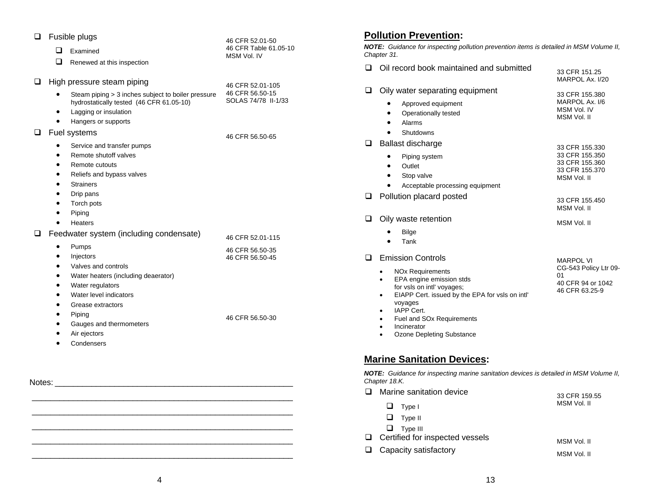| ⊔      | Fusible plugs<br>46 CFR 52.01-50                                                             |                                                                                                                                                                                                                        |                                                       | <b>Pollution</b>                                                                                                                           |  |
|--------|----------------------------------------------------------------------------------------------|------------------------------------------------------------------------------------------------------------------------------------------------------------------------------------------------------------------------|-------------------------------------------------------|--------------------------------------------------------------------------------------------------------------------------------------------|--|
|        | ப                                                                                            | Examined                                                                                                                                                                                                               | 46 CFR Table 61.05-10                                 | <b>NOTE:</b> Guida                                                                                                                         |  |
|        | ப                                                                                            | Renewed at this inspection                                                                                                                                                                                             | MSM Vol. IV                                           | Chapter 31.                                                                                                                                |  |
|        |                                                                                              |                                                                                                                                                                                                                        |                                                       | Oil reco<br>⊔                                                                                                                              |  |
| ⊔      |                                                                                              | High pressure steam piping                                                                                                                                                                                             | 46 CFR 52.01-105                                      |                                                                                                                                            |  |
|        | $\bullet$<br>$\bullet$<br>$\bullet$                                                          | Steam piping > 3 inches subject to boiler pressure<br>hydrostatically tested (46 CFR 61.05-10)<br>Lagging or insulation                                                                                                | 46 CFR 56.50-15<br>SOLAS 74/78 II-1/33                | Oily wa<br>❏<br>A<br>C                                                                                                                     |  |
|        |                                                                                              | Hangers or supports                                                                                                                                                                                                    |                                                       | Α<br>S                                                                                                                                     |  |
| ⊔      | Fuel systems<br>$\bullet$<br>$\bullet$<br>$\bullet$<br>٠<br>٠                                | Service and transfer pumps<br>Remote shutoff valves<br>Remote cutouts<br>Reliefs and bypass valves<br><b>Strainers</b>                                                                                                 | 46 CFR 56.50-65                                       | <b>Ballast</b><br>❏<br>P<br>C<br>S<br>Α                                                                                                    |  |
|        | $\bullet$                                                                                    | Drip pans                                                                                                                                                                                                              |                                                       | Pollutio<br>◻                                                                                                                              |  |
|        | $\bullet$                                                                                    | Torch pots<br>Piping<br><b>Heaters</b>                                                                                                                                                                                 |                                                       | Oily wa<br>❏                                                                                                                               |  |
| ❏      |                                                                                              | Feedwater system (including condensate)                                                                                                                                                                                | 46 CFR 52.01-115                                      | В                                                                                                                                          |  |
|        | $\bullet$<br>٠<br>$\bullet$<br>$\bullet$<br>$\bullet$<br>$\bullet$<br>$\bullet$<br>$\bullet$ | Pumps<br>Injectors<br>Valves and controls<br>Water heaters (including deaerator)<br>Water regulators<br>Water level indicators<br>Grease extractors<br>Piping<br>Gauges and thermometers<br>Air ejectors<br>Condensers | 46 CFR 56.50-35<br>46 CFR 56.50-45<br>46 CFR 56.50-30 | Τ<br>Emissio<br>ப<br>NO <sub>2</sub><br>EP/<br>for $\sqrt{ }$<br><b>EIA</b><br>voya<br><b>IAP</b><br>Fue<br>Inci<br>Ozo<br><b>Marine S</b> |  |
| Notes: |                                                                                              |                                                                                                                                                                                                                        |                                                       | <b>NOTE: Guida</b><br>Chapter 18.K.<br>Marine<br>◻                                                                                         |  |
|        |                                                                                              |                                                                                                                                                                                                                        |                                                       | $\Box$                                                                                                                                     |  |
|        |                                                                                              |                                                                                                                                                                                                                        |                                                       | $\top$                                                                                                                                     |  |

## **Pollution Prevention:**

|             | <b>NOTE:</b> Guidance for inspecting pollution prevention items is detailed in MSM Volume II, |
|-------------|-----------------------------------------------------------------------------------------------|
| Chapter 31. |                                                                                               |

| ப | Oil record book maintained and submitted                                                                                                                                                                                                                                                                                                                            | 33 CFR 151.25<br>MARPOL Ax. I/20                                                       |
|---|---------------------------------------------------------------------------------------------------------------------------------------------------------------------------------------------------------------------------------------------------------------------------------------------------------------------------------------------------------------------|----------------------------------------------------------------------------------------|
| ❏ | Oily water separating equipment<br>Approved equipment<br>٠<br>Operationally tested<br>Alarms<br>Shutdowns                                                                                                                                                                                                                                                           | 33 CFR 155.380<br>MARPOL Ax. I/6<br>MSM Vol. IV<br>MSM Vol. II                         |
| ❏ | <b>Ballast discharge</b><br>Piping system<br>Outlet<br>Stop valve<br>Acceptable processing equipment                                                                                                                                                                                                                                                                | 33 CFR 155.330<br>33 CFR 155.350<br>33 CFR 155.360<br>33 CFR 155.370<br>MSM Vol. II    |
| ◻ | Pollution placard posted                                                                                                                                                                                                                                                                                                                                            | 33 CFR 155.450<br>MSM Vol. II                                                          |
| ┚ | Oily waste retention<br><b>Bilge</b><br>Tank                                                                                                                                                                                                                                                                                                                        | MSM Vol. II                                                                            |
| ❏ | <b>Emission Controls</b><br><b>NO<sub>x</sub></b> Requirements<br>٠<br>EPA engine emission stds<br>$\bullet$<br>for vsls on intl' voyages;<br>EIAPP Cert. issued by the EPA for vsls on intl'<br>٠<br>voyages<br><b>IAPP Cert.</b><br>٠<br>Fuel and SO <sub>x</sub> Requirements<br>$\bullet$<br>Incinerator<br>$\bullet$<br>Ozone Depleting Substance<br>$\bullet$ | <b>MARPOL VI</b><br>CG-543 Policy Ltr 09-<br>01<br>40 CFR 94 or 1042<br>46 CFR 63.25-9 |
|   | Marina Canitatian Davicac:                                                                                                                                                                                                                                                                                                                                          |                                                                                        |

#### **Marine Sanitation Devices:**

*NOTE: Guidance for inspecting marine sanitation devices is detailed in MSM Volume II,* 

| Marine sanitation device               | 33 CFR 159.55 |  |
|----------------------------------------|---------------|--|
| ப<br>Type I                            | MSM Vol. II   |  |
| Type II<br>ப                           |               |  |
| $\Box$ Type III                        |               |  |
| $\Box$ Certified for inspected vessels | MSM Vol. II   |  |
| $\Box$ Capacity satisfactory           | MSM Vol. II   |  |

 $\mathcal{L}_\text{max} = \mathcal{L}_\text{max} = \mathcal{L}_\text{max} = \mathcal{L}_\text{max} = \mathcal{L}_\text{max} = \mathcal{L}_\text{max} = \mathcal{L}_\text{max} = \mathcal{L}_\text{max} = \mathcal{L}_\text{max} = \mathcal{L}_\text{max} = \mathcal{L}_\text{max} = \mathcal{L}_\text{max} = \mathcal{L}_\text{max} = \mathcal{L}_\text{max} = \mathcal{L}_\text{max} = \mathcal{L}_\text{max} = \mathcal{L}_\text{max} = \mathcal{L}_\text{max} = \mathcal{$ 

 \_\_\_\_\_\_\_\_\_\_\_\_\_\_\_\_\_\_\_\_\_\_\_\_\_\_\_\_\_\_\_\_\_\_\_\_\_\_\_\_\_\_\_\_\_\_\_\_\_\_\_\_\_\_\_\_\_  $\mathcal{L}_\text{max} = \mathcal{L}_\text{max} = \mathcal{L}_\text{max} = \mathcal{L}_\text{max} = \mathcal{L}_\text{max} = \mathcal{L}_\text{max} = \mathcal{L}_\text{max} = \mathcal{L}_\text{max} = \mathcal{L}_\text{max} = \mathcal{L}_\text{max} = \mathcal{L}_\text{max} = \mathcal{L}_\text{max} = \mathcal{L}_\text{max} = \mathcal{L}_\text{max} = \mathcal{L}_\text{max} = \mathcal{L}_\text{max} = \mathcal{L}_\text{max} = \mathcal{L}_\text{max} = \mathcal{$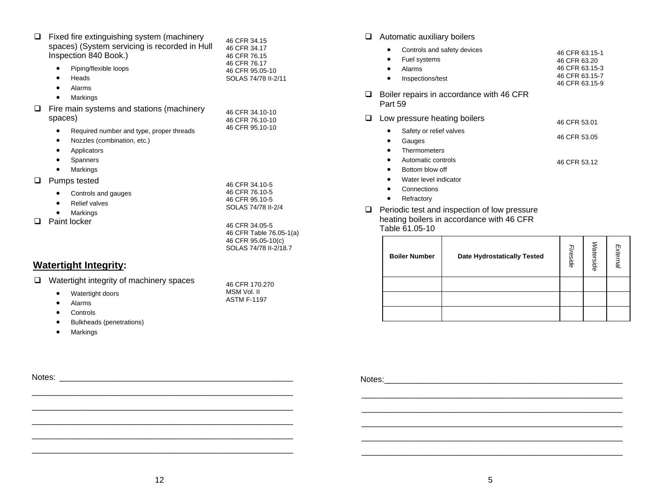| Fixed fire extinguishing system (machinery<br>spaces) (System servicing is recorded in Hull<br>Inspection 840 Book.)<br>Piping/flexible loops<br>Heads<br>٠<br>Alarms<br>Markings | 46 CFR 34.15<br>46 CFR 34.17<br>46 CFR 76.15<br>46 CFR 76.17<br>46 CFR 95.05-10<br>SOLAS 74/78 II-2/11 |
|-----------------------------------------------------------------------------------------------------------------------------------------------------------------------------------|--------------------------------------------------------------------------------------------------------|
| Fire main systems and stations (machinery<br>spaces)<br>Required number and type, proper threads<br>Nozzles (combination, etc.)<br>٠<br>Applicators<br>Spanners<br>Markings       | 46 CFR 34.10-10<br>46 CFR 76.10-10<br>46 CFR 95.10-10                                                  |
| Pumps tested<br>Controls and gauges<br><b>Relief valves</b><br>Markings                                                                                                           | 46 CFR 34.10-5<br>46 CFR 76.10-5<br>46 CFR 95.10-5<br>SOLAS 74/78 II-2/4                               |
| Paint locker                                                                                                                                                                      | 46 CFR 34.05-5<br>46 CFR Table 76.05-1(a)<br>46 CFR 95.05-10(c)<br>SOLAS 74/78 II-2/18.7               |

|           | Watertight integrity of machinery spaces | 46 CFR 170.270     |
|-----------|------------------------------------------|--------------------|
| $\bullet$ | Watertight doors                         | MSM Vol. II        |
| $\bullet$ | Alarms                                   | <b>ASTM F-1197</b> |
|           | Controls                                 |                    |

 Bulkheads (penetrations) •Markings

•

**Q** Automatic auxiliary boilers

| Controls and safety devices<br>Fuel systems<br>٠<br>Alarms<br>Inspections/test                           | 46 CFR 63.15-1<br>46 CFR 63.20<br>46 CFR 63.15-3<br>46 CFR 63.15-7<br>46 CFR 63.15-9 |
|----------------------------------------------------------------------------------------------------------|--------------------------------------------------------------------------------------|
| Boiler repairs in accordance with 46 CFR<br>Part 59                                                      |                                                                                      |
| Low pressure heating boilers<br>Safety or relief valves<br>Gauges<br>Thermometers                        | 46 CFR 53.01<br>46 CFR 53.05                                                         |
| Automatic controls<br>$\bullet$<br>Bottom blow off<br>Water level indicator<br>Connections<br>Refractory | 46 CFR 53.12                                                                         |

**Q** Periodic test and inspection of low pressure heating boilers in accordance with 46 CFR Table 61.05-10 

| <b>Watertight Integrity:</b>                                         |  |                                                  | 46 CFR 95.05-10(c)<br>SOLAS 74/78 II-2/18.7 | <b>Boiler Number</b> | <b>Date Hydrostatically Tested</b> |  | ல<br>9<br>e. |  |
|----------------------------------------------------------------------|--|--------------------------------------------------|---------------------------------------------|----------------------|------------------------------------|--|--------------|--|
| Watertight integrity of machinery spaces<br>$\Box$<br>46 CFR 170.270 |  |                                                  |                                             |                      |                                    |  |              |  |
|                                                                      |  | Watertight doors                                 | MSM Vol. II                                 |                      |                                    |  |              |  |
|                                                                      |  | Alarms                                           | <b>ASTM F-1197</b>                          |                      |                                    |  |              |  |
|                                                                      |  | Controls                                         |                                             |                      |                                    |  |              |  |
|                                                                      |  | $\sim$ $\sim$ $\sim$ $\sim$ $\sim$ $\sim$ $\sim$ |                                             |                      |                                    |  |              |  |

Notes: \_\_\_\_\_\_\_\_\_\_\_\_\_\_\_\_\_\_\_\_\_\_\_\_\_\_\_\_\_\_\_\_\_\_\_\_\_\_\_\_\_\_\_\_\_\_\_\_\_\_\_ Notes: \_\_\_\_\_\_\_\_\_\_\_\_\_\_\_\_\_\_\_\_\_\_\_\_\_\_\_\_\_\_\_\_\_\_\_\_\_\_\_\_\_\_\_\_\_\_\_\_\_\_\_\_

\_\_\_\_\_\_\_\_\_\_\_\_\_\_\_\_\_\_\_\_\_\_\_\_\_\_\_\_\_\_\_\_\_\_\_\_\_\_\_\_\_\_\_\_\_\_\_\_\_\_\_\_\_\_\_\_\_

 $\mathcal{L}_\text{max} = \mathcal{L}_\text{max} = \mathcal{L}_\text{max} = \mathcal{L}_\text{max} = \mathcal{L}_\text{max} = \mathcal{L}_\text{max} = \mathcal{L}_\text{max} = \mathcal{L}_\text{max} = \mathcal{L}_\text{max} = \mathcal{L}_\text{max} = \mathcal{L}_\text{max} = \mathcal{L}_\text{max} = \mathcal{L}_\text{max} = \mathcal{L}_\text{max} = \mathcal{L}_\text{max} = \mathcal{L}_\text{max} = \mathcal{L}_\text{max} = \mathcal{L}_\text{max} = \mathcal{$ 

\_\_\_\_\_\_\_\_\_\_\_\_\_\_\_\_\_\_\_\_\_\_\_\_\_\_\_\_\_\_\_\_\_\_\_\_\_\_\_\_\_\_\_\_\_\_\_\_\_\_\_\_\_\_\_\_\_

\_\_\_\_\_\_\_\_\_\_\_\_\_\_\_\_\_\_\_\_\_\_\_\_\_\_\_\_\_\_\_\_\_\_\_\_\_\_\_\_\_\_\_\_\_\_\_\_\_\_\_\_\_\_\_\_\_

\_\_\_\_\_\_\_\_\_\_\_\_\_\_\_\_\_\_\_\_\_\_\_\_\_\_\_\_\_\_\_\_\_\_\_\_\_\_\_\_\_\_\_\_\_\_\_\_\_\_\_\_\_\_\_\_\_

\_\_\_\_\_\_\_\_\_\_\_\_\_\_\_\_\_\_\_\_\_\_\_\_\_\_\_\_\_\_\_\_\_\_\_\_\_\_\_\_\_\_\_\_\_\_\_\_\_\_\_\_\_\_\_\_\_

\_\_\_\_\_\_\_\_\_\_\_\_\_\_\_\_\_\_\_\_\_\_\_\_\_\_\_\_\_\_\_\_\_\_\_\_\_\_\_\_\_\_\_\_\_\_\_\_\_\_\_\_\_\_\_\_\_

\_\_\_\_\_\_\_\_\_\_\_\_\_\_\_\_\_\_\_\_\_\_\_\_\_\_\_\_\_\_\_\_\_\_\_\_\_\_\_\_\_\_\_\_\_\_\_\_\_\_\_\_\_\_\_\_\_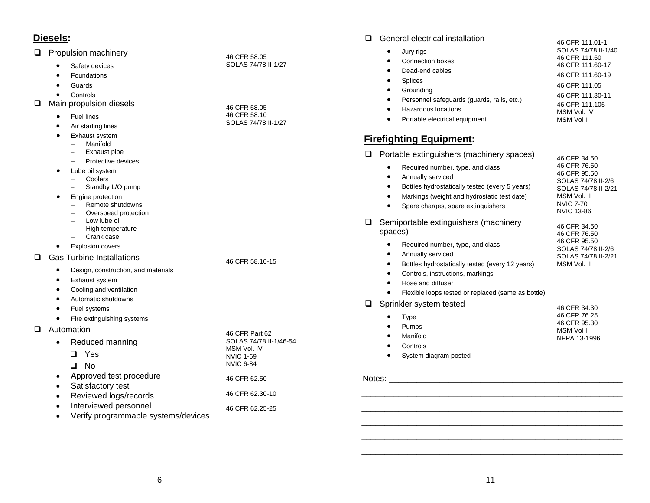#### **Q** Propulsion machinery

|  |  | Safety devices |
|--|--|----------------|
|--|--|----------------|

- •Foundations
- •Guards
- •Controls
- $\Box$  Main propulsion diesels
	- •Fuel lines
	- •Air starting lines
	- • Exhaust system
		- − Manifold
		- <sup>−</sup> Exhaust pipe
		- −Protective devices
	- $\bullet$  Lube oil system
		- − Coolers
		- <sup>−</sup> Standby L/O pump
	- • Engine protection
		- − Remote shutdowns
		- <sup>−</sup> Overspeed protection
		- − Low lube oil
		- <sup>−</sup> High temperature
		- − Crank case
		- Explosion covers

Gas Turbine Installations

- •Design, construction, and materials
- •Exhaust system
- •Cooling and ventilation
- •Automatic shutdowns
- •Fuel systems
- •Fire extinguishing systems
- **D** Automation

 $\bullet$ 

| $\bullet$ | Reduced manning                     | SOLAS 74/78 II-1/46-54          |
|-----------|-------------------------------------|---------------------------------|
|           | Yes                                 | MSM Vol. IV<br><b>NVIC 1-69</b> |
|           | No.                                 | <b>NVIC 6-84</b>                |
| $\bullet$ | Approved test procedure             | 46 CFR 62.50                    |
|           | Satisfactory test                   |                                 |
| $\bullet$ | Reviewed logs/records               | 46 CFR 62.30-10                 |
|           | Interviewed personnel               | 46 CFR 62.25-25                 |
|           | Verify programmable systems/devices |                                 |

46 CFR 58.05 SOLAS 74/78 II-1/27

46 CFR 58.05 46 CFR 58.10 SOLAS 74/78 II-1/27

46 CFR 58.10-15

46 CFR Part 62

| wanona onoonnoan motanationi               | 46 CFR 111.01-1     |
|--------------------------------------------|---------------------|
| Jury rigs                                  | SOLAS 74/78 II-1/40 |
| Connection boxes                           | 46 CFR 111.60       |
| Dead-end cables                            | 46 CFR 111.60-17    |
| Splices                                    | 46 CFR 111.60-19    |
| Grounding                                  | 46 CFR 111.05       |
| Personnel safeguards (guards, rails, etc.) | 46 CFR 111.30-11    |
|                                            | 46 CFR 111.105      |
| Hazardous locations                        | MSM Vol. IV         |

MSM Vol II

•Portable electrical equipment

### **Firefighting Equipment:**

|        | Portable extinguishers (machinery spaces)                                                                                                                                                                               | 46 CFR 34.50                                                                                                                      |
|--------|-------------------------------------------------------------------------------------------------------------------------------------------------------------------------------------------------------------------------|-----------------------------------------------------------------------------------------------------------------------------------|
|        | Required number, type, and class<br>Annually serviced<br>Bottles hydrostatically tested (every 5 years)<br>Markings (weight and hydrostatic test date)<br>Spare charges, spare extinguishers                            | 46 CFR 76.50<br>46 CFR 95.50<br>SOLAS 74/78 II-2/6<br>SOLAS 74/78 II-2/21<br>MSM Vol. II<br><b>NVIC 7-70</b><br><b>NVIC 13-86</b> |
|        | Semiportable extinguishers (machinery<br>spaces)                                                                                                                                                                        | 46 CFR 34.50<br>46 CFR 76.50                                                                                                      |
|        | Required number, type, and class<br>Annually serviced<br>Bottles hydrostatically tested (every 12 years)<br>Controls, instructions, markings<br>Hose and diffuser<br>Flexible loops tested or replaced (same as bottle) | 46 CFR 95.50<br>SOLAS 74/78 II-2/6<br>SOLAS 74/78 II-2/21<br>MSM Vol. II                                                          |
|        | Sprinkler system tested<br>Type<br>Pumps<br>Manifold<br>Controls<br>System diagram posted                                                                                                                               | 46 CFR 34.30<br>46 CFR 76.25<br>46 CFR 95.30<br>MSM Vol II<br>NFPA 13-1996                                                        |
| Notes: |                                                                                                                                                                                                                         |                                                                                                                                   |

 \_\_\_\_\_\_\_\_\_\_\_\_\_\_\_\_\_\_\_\_\_\_\_\_\_\_\_\_\_\_\_\_\_\_\_\_\_\_\_\_\_\_\_\_\_\_\_\_\_\_\_\_\_\_\_\_\_ \_\_\_\_\_\_\_\_\_\_\_\_\_\_\_\_\_\_\_\_\_\_\_\_\_\_\_\_\_\_\_\_\_\_\_\_\_\_\_\_\_\_\_\_\_\_\_\_\_\_\_\_\_\_\_\_\_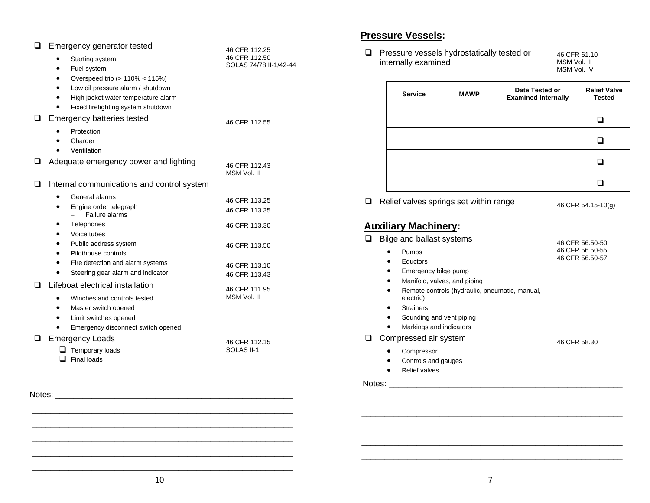| ப      | Emergency generator tested                 | 46 CFR 112.25                |
|--------|--------------------------------------------|------------------------------|
|        | Starting system                            | 46 CFR 112.50                |
|        | Fuel system                                | SOLAS 74/78 II-1/42-44       |
|        | Overspeed trip (> 110% < 115%)             |                              |
|        | Low oil pressure alarm / shutdown          |                              |
|        | High jacket water temperature alarm        |                              |
|        | Fixed firefighting system shutdown         |                              |
| ப      | Emergency batteries tested                 | 46 CFR 112.55                |
|        | Protection                                 |                              |
|        | Charger                                    |                              |
|        | Ventilation                                |                              |
| ப      | Adequate emergency power and lighting      | 46 CFR 112.43<br>MSM Vol. II |
| ப      | Internal communications and control system |                              |
|        | General alarms                             |                              |
|        | Engine order telegraph<br>$\bullet$        | 46 CFR 113.25                |
|        | Failure alarms                             | 46 CFR 113.35                |
|        | Telephones                                 | 46 CFR 113.30                |
|        | Voice tubes                                |                              |
|        | Public address system                      | 46 CFR 113.50                |
|        | Pilothouse controls                        |                              |
|        | Fire detection and alarm systems           | 46 CFR 113.10                |
|        | Steering gear alarm and indicator          | 46 CFR 113.43                |
| ш      | Lifeboat electrical installation           | 46 CFR 111.95                |
|        | Winches and controls tested                | MSM Vol. II                  |
|        | Master switch opened<br>$\bullet$          |                              |
|        | Limit switches opened                      |                              |
|        | Emergency disconnect switch opened         |                              |
| ◻      | <b>Emergency Loads</b>                     | 46 CFR 112.15                |
|        | $\Box$ Temporary loads                     | SOLAS II-1                   |
|        | $\Box$ Final loads                         |                              |
|        |                                            |                              |
|        |                                            |                              |
| Notes: |                                            |                              |
|        |                                            |                              |
|        |                                            |                              |

#### **Pressure Vessels:**

**Pressure vessels hydrostatically tested or** internally examined

46 CFR 61.10 MSM Vol. II MSM Vol. IV

|                                                              | <b>Service</b> | <b>MAWP</b> | Date Tested or<br><b>Examined Internally</b> | <b>Relief Valve</b><br><b>Tested</b> |
|--------------------------------------------------------------|----------------|-------------|----------------------------------------------|--------------------------------------|
|                                                              |                |             |                                              |                                      |
|                                                              |                |             |                                              |                                      |
|                                                              |                |             |                                              |                                      |
|                                                              |                |             |                                              |                                      |
| Relief valves springs set within range<br>46 CFR 54.15-10(g) |                |             |                                              |                                      |

### **Auxiliary Machinery:**

| Bilge and ballast systems                                                | 46 CFR 56.50-50 |
|--------------------------------------------------------------------------|-----------------|
| Pumps<br>$\bullet$                                                       | 46 CFR 56.50-55 |
| Eductors<br>$\bullet$                                                    | 46 CFR 56.50-57 |
| Emergency bilge pump<br>٠                                                |                 |
| Manifold, valves, and piping<br>٠                                        |                 |
| Remote controls (hydraulic, pneumatic, manual,<br>$\bullet$<br>electric) |                 |
| <b>Strainers</b><br>٠                                                    |                 |
| Sounding and vent piping<br>٠                                            |                 |
| Markings and indicators                                                  |                 |
| Compressed air system                                                    | 46 CFR 58.30    |
| Compressor                                                               |                 |
| Controle and aguage                                                      |                 |

- •Controls and gauges
- Relief valves

#### Notes: \_\_\_\_\_\_\_\_\_\_\_\_\_\_\_\_\_\_\_\_\_\_\_\_\_\_\_\_\_\_\_\_\_\_\_\_\_\_\_\_\_\_\_\_\_\_\_\_\_\_\_

\_\_\_\_\_\_\_\_\_\_\_\_\_\_\_\_\_\_\_\_\_\_\_\_\_\_\_\_\_\_\_\_\_\_\_\_\_\_\_\_\_\_\_\_\_\_\_\_\_\_\_\_\_\_\_\_\_

\_\_\_\_\_\_\_\_\_\_\_\_\_\_\_\_\_\_\_\_\_\_\_\_\_\_\_\_\_\_\_\_\_\_\_\_\_\_\_\_\_\_\_\_\_\_\_\_\_\_\_\_\_\_\_\_\_

\_\_\_\_\_\_\_\_\_\_\_\_\_\_\_\_\_\_\_\_\_\_\_\_\_\_\_\_\_\_\_\_\_\_\_\_\_\_\_\_\_\_\_\_\_\_\_\_\_\_\_\_\_\_\_\_\_

\_\_\_\_\_\_\_\_\_\_\_\_\_\_\_\_\_\_\_\_\_\_\_\_\_\_\_\_\_\_\_\_\_\_\_\_\_\_\_\_\_\_\_\_\_\_\_\_\_\_\_\_\_\_\_\_\_

\_\_\_\_\_\_\_\_\_\_\_\_\_\_\_\_\_\_\_\_\_\_\_\_\_\_\_\_\_\_\_\_\_\_\_\_\_\_\_\_\_\_\_\_\_\_\_\_\_\_\_\_\_\_\_\_\_